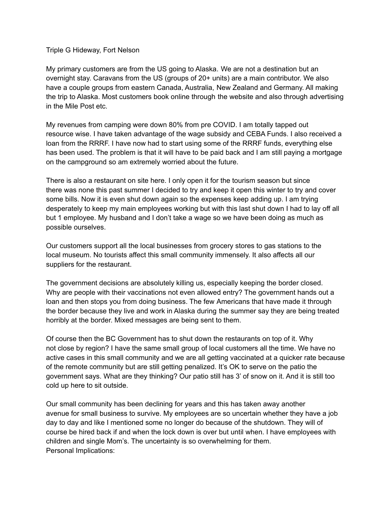Triple G Hideway, Fort Nelson

My primary customers are from the US going to Alaska. We are not a destination but an overnight stay. Caravans from the US (groups of 20+ units) are a main contributor. We also have a couple groups from eastern Canada, Australia, New Zealand and Germany. All making the trip to Alaska. Most customers book online through the website and also through advertising in the Mile Post etc.

My revenues from camping were down 80% from pre COVID. I am totally tapped out resource wise. I have taken advantage of the wage subsidy and CEBA Funds. I also received a loan from the RRRF. I have now had to start using some of the RRRF funds, everything else has been used. The problem is that it will have to be paid back and I am still paying a mortgage on the campground so am extremely worried about the future.

There is also a restaurant on site here. I only open it for the tourism season but since there was none this past summer I decided to try and keep it open this winter to try and cover some bills. Now it is even shut down again so the expenses keep adding up. I am trying desperately to keep my main employees working but with this last shut down I had to lay off all but 1 employee. My husband and I don't take a wage so we have been doing as much as possible ourselves.

Our customers support all the local businesses from grocery stores to gas stations to the local museum. No tourists affect this small community immensely. It also affects all our suppliers for the restaurant.

The government decisions are absolutely killing us, especially keeping the border closed. Why are people with their vaccinations not even allowed entry? The government hands out a loan and then stops you from doing business. The few Americans that have made it through the border because they live and work in Alaska during the summer say they are being treated horribly at the border. Mixed messages are being sent to them.

Of course then the BC Government has to shut down the restaurants on top of it. Why not close by region? I have the same small group of local customers all the time. We have no active cases in this small community and we are all getting vaccinated at a quicker rate because of the remote community but are still getting penalized. It's OK to serve on the patio the government says. What are they thinking? Our patio still has 3' of snow on it. And it is still too cold up here to sit outside.

Our small community has been declining for years and this has taken away another avenue for small business to survive. My employees are so uncertain whether they have a job day to day and like I mentioned some no longer do because of the shutdown. They will of course be hired back if and when the lock down is over but until when. I have employees with children and single Mom's. The uncertainty is so overwhelming for them. Personal Implications: